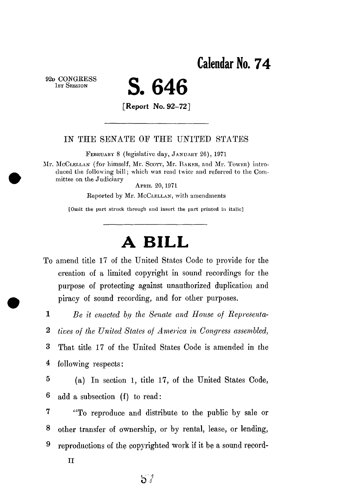**Calendar No. 74** 

**92D CONGKES S 1ST SESSION** 

## **S. 646**

**[Report No. 92-72]** 

## IN THE SENATE OF THE UNITED STATES

**FEBRUAR Y 8 (legislative day, JANUAR Y 26) , 197 1** 

**Mr. MCCLELLA <sup>N</sup> (for himself, Mr. SCOTT, Mr. BAKER , and Mr. TOWER ) introduced the following bill; which was read twice and referred to the Committee on the Judiciary** 

**APRI L 20,197 1** 

**Reported by Mr. MCCLELLAN , with amendments** 

**[Omit the part struck through and insert the part printed in italic]** 

## **A BILL**

amend title 17 of the United States Code to provide for the creation of a limited copyright in sound recordings for the purpose of protecting against unauthorized duplication and piracy of sound recording, and for other purposes.

 $\mathbf{1}$ 

*Be it enacted by the Senate and House of Representa-*

 $\overline{2}$ *tives of the United States of America in Congress assembled,* 

3 That title 17 of the United States Code is amended in the 4 following respects:

 $\overline{5}$ (a) In section 1, title 17, of the United States Code, 6 add a subsection (f) to read:

 $\overline{7}$ "To reproduce and distribute to the public by sale or 8 other transfer of ownership, or by rental, lease, or lending, 9 reproductions of the copyrighted work if it be a sound record-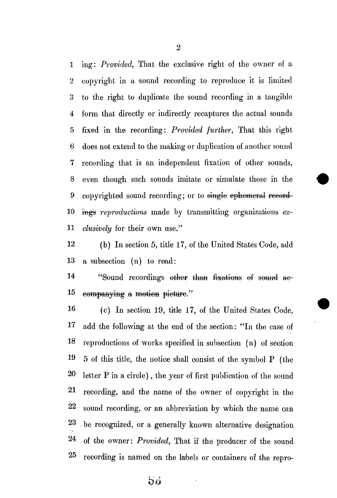ing: *Provided,* That the exclusive right of the owner of a 2 copyright in a sound recording to reproduce it is limited to the right to duplicate the sound recording in a tangible 4 form that directly or indirectly recaptures the actual sounds 5 fixed in the recording: *Provided further,* That this right 6 does not extend to the making or duplication of another sound recording that is an independent fixation of other sounds, even though such sounds imitate or simulate those in the copyrighted sound recording; or to single ephemeral record 10 ings reproductions made by transmitting organizations ex- *clusively* for their own use."

 (b) In section **5,** title **17,** of the United States Code, add a subsection (n) to read:

14 "Sound recordings other than fixations of sound ae-companying a motion picture."

 (c) In section **19,** title **17,** of the United States Code, add the following at the end of the section: "In the case oi reproductions of works specified in subsection (n) of section **19 5** of this title, the notice shall consist of the symbol **P** (the letter **P** in a circle), the year of first publication of the sound recording, and the name of the owner of copyright in the sound recording, or an abbreviation by which the name can .be recognized, or a generally known alternative designation 24 of the owner: *Provided,* That if the producer of the sound recording is named on the labels or containers of the repro-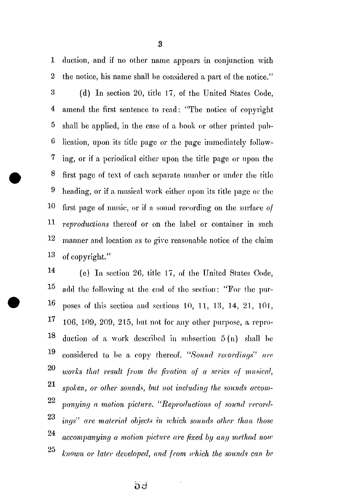**1** duction, and if no other name appears in conjunction with 2 the notice, his name shall be considered a part of the notice." 3 (d) In section 20, title 17, of the United States Code, **4** amend the first sentence to read: "The notice of copyright 5 shall be applied, in the case of a book or other printed pub-6 lication, upon its title page or the page immediately follow-7 ing, or if a periodical either upon the title page or upon the **8** first page of text of each separate number or under the title 9 heading, or if a musical work either upon its title page or the **10** first page of music, or if a sound recording on the surface *of*  **11** *reproductions* thereof or on the label or container in such **12** manner and location as to give reasonable notice of the claim **1 3** of copyright."

14 (e) In section 26, title 17, of the United States Code,  $15$ add the following at the end of the section: "For the pur- $16$  poses of this section and sections 10, 11, 13, 14, 21, 101,  $17 \quad 106, 109, 209, 215$ , but not for any other purpose, a repro-18 duction of a work described in subsection  $5(n)$  shall be 19 considered to be a copy thereof. *"Sound recordings' are*  **on**  *works that result from the fixation of a series of musical,*  **21**  *spoken, or other sounds, but not including the sounds accom-*22 *panying a motion picture. "Reproductions of sound record-*24 *accompanying a motion picture are fixed by any method now accompanying a motion picture are fixed by any method now known or later developed, and from which the sounds can be* <sup>25</sup>

3

**5d**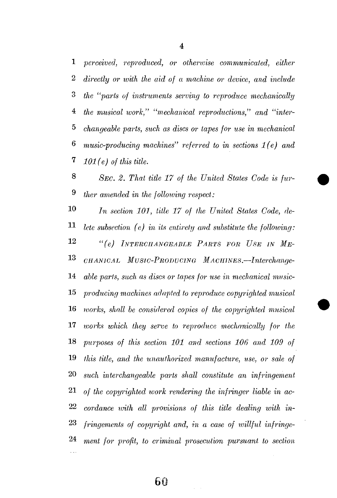*perceived, reproduced, or otherwise communicated, either directly or with the aid of a machine or device, and include the "parts of instruments serving to reproduce mechanically the musical ivork," "mechanical reproductions," and "inter- changeable parts, such as discs or tapes for use in mechanical music-producing machines" referred to in sections 1(e) and 101(e) of this title.* 

  *SEC. 2 . That title 1 7 of the United States Code is fur- ther amended in the following respect:* 

 *I<sup>n</sup>* In section 101, title 17 of the United States Code, de- *lete subsection (e) in its entirety and substitute the following:*  **2**  *"(e) INTERCHANGEABLE PARTS FOR USE IN ME-* **3**  *CHANICAL MvSIC-PRODUCING MACHINES.***—***Interclumge- able parts, such as discs or tapes for use in mechanical mnsic- producing machines adapted to reproduce copyrighted musical works, shall be considered copies of the copyrighted musical*  **IT** *works which they serve to reproduce mechanically for the purposes of this section 101 and sections 106 and, 109 of this title, and, the unauthorized manufacture, use, or sale of such interchangeable parts shall constitute an infringement, of the copyrighted, work rendering the infringer liable in ac- cordance with all provisions of this title dealing with in- fringements of copyright and, in a case of willful infringe-*24 ment for profit, to criminal prosecution pursuant to section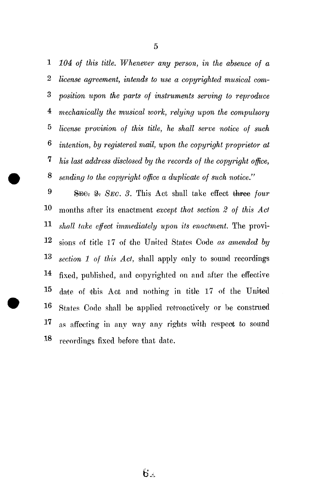*104 of this title. Whenever any person, in the absence of a license agreement, intends to use a copyrighted musical com- position upon the parts of instruments serving to reproduce mechanically the musical ivork, relying upon the compulsory license provision of this title, he shall serve notice of such intention, by registered mail, upon the copyright proprietor at 7 his last address disclosed by the records of the copyright office, sending to the copyright office a duplicate of such notice."* 

 **SEE: 2.** SEC. 3. This Act shall take effect three four months after its enactment *except that section 2 of this Act shall take effect immediately upon its enactment.* The provi- sions of title 17 of the United States Code *as amended by section 1 of this Act,* shall apply only to sound recordings **4** fixed, published, and copyrighted on and after the effective date of this Act and nothing in title 17 of the United **1^** States Code shall be applied retroactively or be construed 17 as affecting in any way any rights with respect to sound  $\mathbf{R}$ recordings fixed before that date.